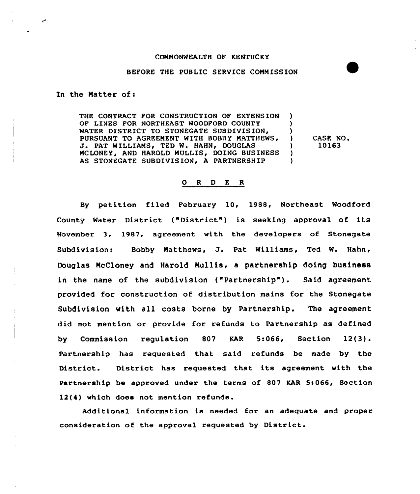## COMMONWEALTH OF KENTUCKY

## BEFORE THE PUBLIC SERVICE COMMISSION

## In the Natter of:

 $\epsilon$ 

THE CONTRACT FOR CONSTRUCTION OF EXTENS ION OF LINES FOR NORTHEAST WOODFORD COUNTY WATER DISTRICT TO STONEGATE SUBDIVISION, PURSUANT TO AGREEMENT WITH BOBBY MATTHEWS, J. PAT WILLIAMS, TED W. HAHN, DOUGLAS MCLONEY, AND HAROLD MULLIS, DOING BUSINESS AS STONEGATE SUBDIVISION, A PARTNERSHIP ) )  $\left\{ \right\}$ CASE NO <sup>~</sup> ) 10163 ) )

0 <sup>R</sup> <sup>D</sup> E <sup>R</sup>

By petition filed February 10< 1988, Northeast Woodford County Water District ("District ) is seeking approval of its November 3, 1987, agreement with the developers of Stonegate Subdivision: Bobby Matthews, J. Pat Williams, Ted W. Hahn, Douglas NcCloney and Harold Nullis, a partnership doing business in the name of the subdivision ("Partnership"). Said agreement provided for construction of distribution mains for the Stonegate Subdivision with all costs borne by Partnership. The agreement did not mention or provide for refunds to Partnership as defined by Commission regulation 807 KAR 5:066, Section 12(3). Partnership has requested that said refunds be made by the District. District has requested that its agreement with the Partnership be approved under the terms of 807 KAR 5:066, Section 12(4) which does not mention refunds.

Additional information is needed for an adequate and proper consideration of the approval requested by District.